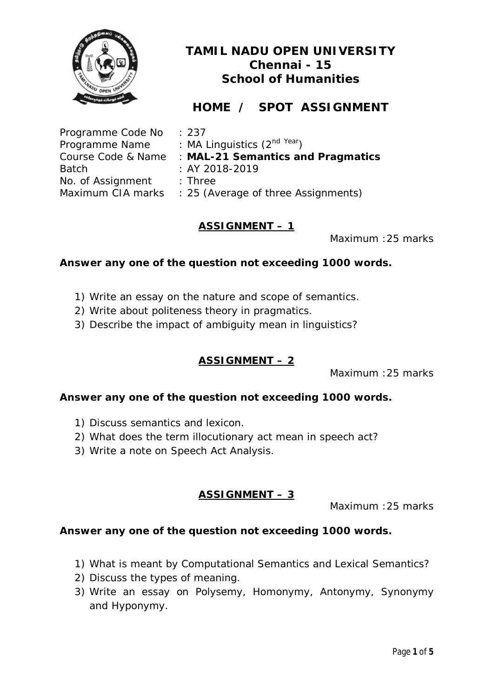

# **HOME / SPOT ASSIGNMENT**

| Programme Code No  | : 237                                    |
|--------------------|------------------------------------------|
| Programme Name     | : MA Linguistics $(2^{nd \text{ Year}})$ |
| Course Code & Name | : MAL-21 Semantics and Pragmatics        |
| <b>Batch</b>       | : AY 2018-2019                           |
| No. of Assignment  | $:$ Three                                |
| Maximum CIA marks  | : 25 (Average of three Assignments)      |

## **ASSIGNMENT – 1**

Maximum :25 marks

## **Answer any one of the question not exceeding 1000 words.**

- 1) Write an essay on the nature and scope of semantics.
- 2) Write about politeness theory in pragmatics.
- 3) Describe the impact of ambiguity mean in linguistics?

## **ASSIGNMENT – 2**

Maximum :25 marks

## **Answer any one of the question not exceeding 1000 words.**

- 1) Discuss semantics and lexicon.
- 2) What does the term illocutionary act mean in speech act?
- 3) Write a note on Speech Act Analysis.

## **ASSIGNMENT – 3**

Maximum :25 marks

- 1) What is meant by Computational Semantics and Lexical Semantics?
- 2) Discuss the types of meaning.
- 3) Write an essay on Polysemy, Homonymy, Antonymy, Synonymy and Hyponymy.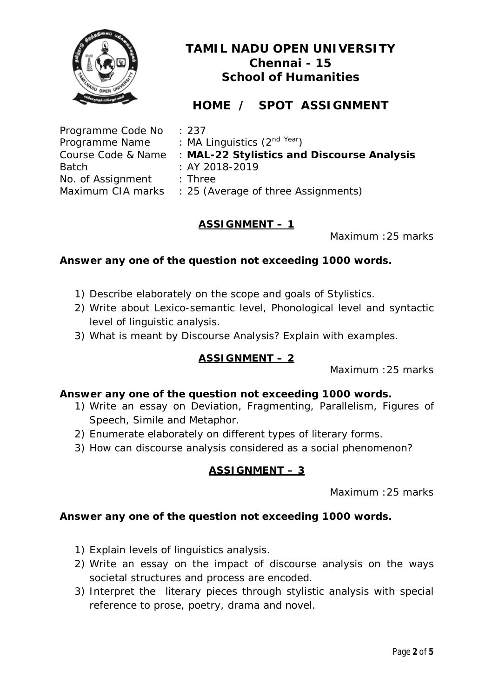

# **HOME / SPOT ASSIGNMENT**

| Programme Code No  | $\therefore$ 237                           |
|--------------------|--------------------------------------------|
| Programme Name     | : MA Linguistics $(2^{nd \text{ Year}})$   |
| Course Code & Name | : MAL-22 Stylistics and Discourse Analysis |
| <b>Batch</b>       | $: AY 2018 - 2019$                         |
| No. of Assignment  | $:$ Three                                  |
| Maximum CIA marks  | : 25 (Average of three Assignments)        |

## **ASSIGNMENT – 1**

Maximum :25 marks

## **Answer any one of the question not exceeding 1000 words.**

- 1) Describe elaborately on the scope and goals of Stylistics.
- 2) Write about Lexico-semantic level, Phonological level and syntactic level of linguistic analysis.
- 3) What is meant by Discourse Analysis? Explain with examples.

## **ASSIGNMENT – 2**

Maximum :25 marks

## **Answer any one of the question not exceeding 1000 words.**

- 1) Write an essay on Deviation, Fragmenting, Parallelism, Figures of Speech, Simile and Metaphor.
- 2) Enumerate elaborately on different types of literary forms.
- 3) How can discourse analysis considered as a social phenomenon?

## **ASSIGNMENT – 3**

Maximum :25 marks

- 1) Explain levels of linguistics analysis.
- 2) Write an essay on the impact of discourse analysis on the ways societal structures and process are encoded.
- 3) Interpret the literary pieces through stylistic analysis with special reference to prose, poetry, drama and novel.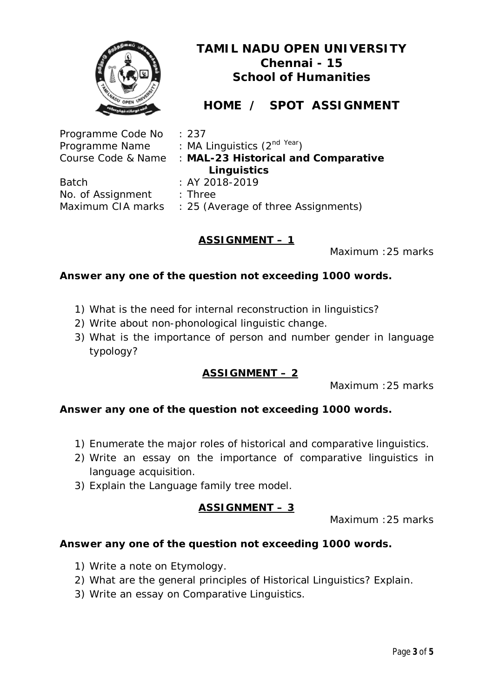

# **HOME / SPOT ASSIGNMENT**

| Programme Code No  | : 237                                    |
|--------------------|------------------------------------------|
| Programme Name     | : MA Linguistics $(2^{nd \text{ Year}})$ |
| Course Code & Name | : MAL-23 Historical and Comparative      |
|                    | Linguistics                              |
| <b>Batch</b>       | : AY 2018-2019                           |
| No. of Assignment  | $:$ Three                                |
| Maximum CIA marks  | : 25 (Average of three Assignments)      |

## **ASSIGNMENT – 1**

Maximum :25 marks

#### **Answer any one of the question not exceeding 1000 words.**

- 1) What is the need for internal reconstruction in linguistics?
- 2) Write about non-phonological linguistic change.
- 3) What is the importance of person and number gender in language typology?

## **ASSIGNMENT – 2**

Maximum :25 marks

#### **Answer any one of the question not exceeding 1000 words.**

- 1) Enumerate the major roles of historical and comparative linguistics.
- 2) Write an essay on the importance of comparative linguistics in language acquisition.
- 3) Explain the Language family tree model.

## **ASSIGNMENT – 3**

Maximum :25 marks

- 1) Write a note on Etymology.
- 2) What are the general principles of Historical Linguistics? Explain.
- 3) Write an essay on Comparative Linguistics.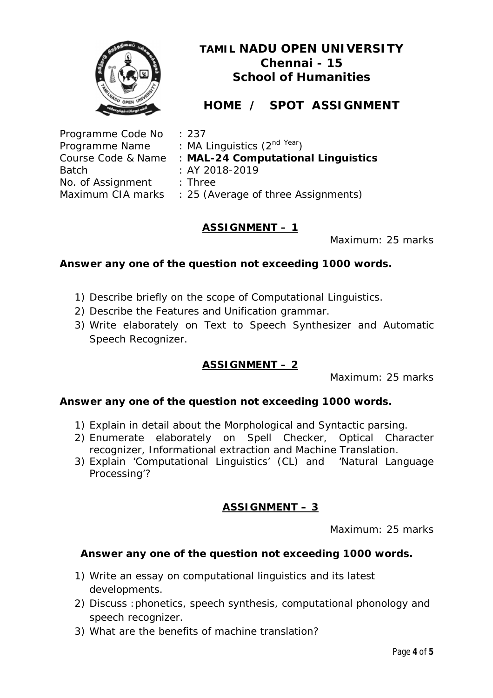

# **HOME / SPOT ASSIGNMENT**

| Programme Code No  | : 237                                    |
|--------------------|------------------------------------------|
| Programme Name     | : MA Linguistics $(2^{nd \text{ Year}})$ |
| Course Code & Name | : MAL-24 Computational Linguistics       |
| <b>Batch</b>       | : AY 2018-2019                           |
| No. of Assignment  | $:$ Three                                |
| Maximum CIA marks  | : 25 (Average of three Assignments)      |

## **ASSIGNMENT – 1**

Maximum: 25 marks

## **Answer any one of the question not exceeding 1000 words.**

- 1) Describe briefly on the scope of Computational Linguistics.
- 2) Describe the Features and Unification grammar.
- 3) Write elaborately on Text to Speech Synthesizer and Automatic Speech Recognizer.

## **ASSIGNMENT – 2**

Maximum: 25 marks

## **Answer any one of the question not exceeding 1000 words.**

- 1) Explain in detail about the Morphological and Syntactic parsing.
- 2) Enumerate elaborately on Spell Checker, Optical Character recognizer, Informational extraction and Machine Translation.
- 3) Explain 'Computational Linguistics' (CL) and 'Natural Language Processing'?

## **ASSIGNMENT – 3**

Maximum: 25 marks

- 1) Write an essay on computational linguistics and its latest developments.
- 2) Discuss :phonetics, speech synthesis, computational phonology and speech recognizer.
- 3) What are the benefits of machine translation?